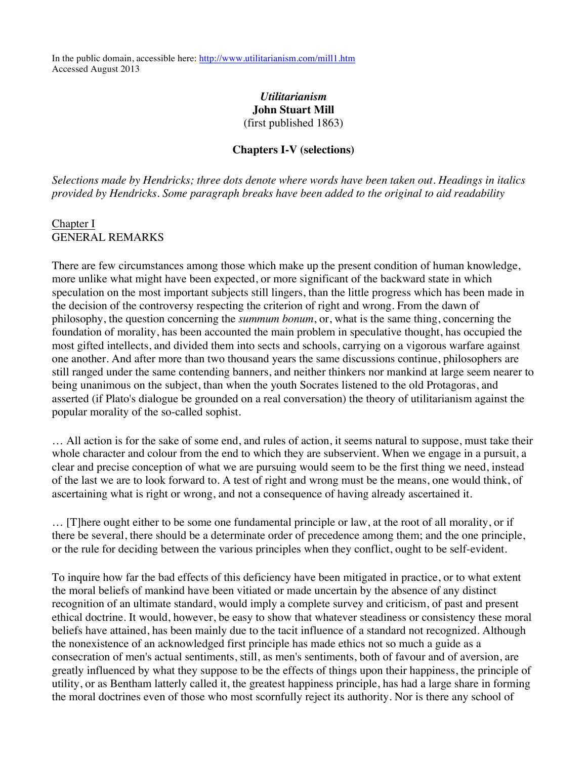In the public domain, accessible here: http://www.utilitarianism.com/mill1.htm Accessed August 2013

### *Utilitarianism* **John Stuart Mill** (first published 1863)

#### **Chapters I-V (selections)**

*Selections made by Hendricks; three dots denote where words have been taken out. Headings in italics provided by Hendricks. Some paragraph breaks have been added to the original to aid readability*

### Chapter I GENERAL REMARKS

There are few circumstances among those which make up the present condition of human knowledge, more unlike what might have been expected, or more significant of the backward state in which speculation on the most important subjects still lingers, than the little progress which has been made in the decision of the controversy respecting the criterion of right and wrong. From the dawn of philosophy, the question concerning the *summum bonum*, or, what is the same thing, concerning the foundation of morality, has been accounted the main problem in speculative thought, has occupied the most gifted intellects, and divided them into sects and schools, carrying on a vigorous warfare against one another. And after more than two thousand years the same discussions continue, philosophers are still ranged under the same contending banners, and neither thinkers nor mankind at large seem nearer to being unanimous on the subject, than when the youth Socrates listened to the old Protagoras, and asserted (if Plato's dialogue be grounded on a real conversation) the theory of utilitarianism against the popular morality of the so-called sophist.

… All action is for the sake of some end, and rules of action, it seems natural to suppose, must take their whole character and colour from the end to which they are subservient. When we engage in a pursuit, a clear and precise conception of what we are pursuing would seem to be the first thing we need, instead of the last we are to look forward to. A test of right and wrong must be the means, one would think, of ascertaining what is right or wrong, and not a consequence of having already ascertained it.

… [T]here ought either to be some one fundamental principle or law, at the root of all morality, or if there be several, there should be a determinate order of precedence among them; and the one principle, or the rule for deciding between the various principles when they conflict, ought to be self-evident.

To inquire how far the bad effects of this deficiency have been mitigated in practice, or to what extent the moral beliefs of mankind have been vitiated or made uncertain by the absence of any distinct recognition of an ultimate standard, would imply a complete survey and criticism, of past and present ethical doctrine. It would, however, be easy to show that whatever steadiness or consistency these moral beliefs have attained, has been mainly due to the tacit influence of a standard not recognized. Although the nonexistence of an acknowledged first principle has made ethics not so much a guide as a consecration of men's actual sentiments, still, as men's sentiments, both of favour and of aversion, are greatly influenced by what they suppose to be the effects of things upon their happiness, the principle of utility, or as Bentham latterly called it, the greatest happiness principle, has had a large share in forming the moral doctrines even of those who most scornfully reject its authority. Nor is there any school of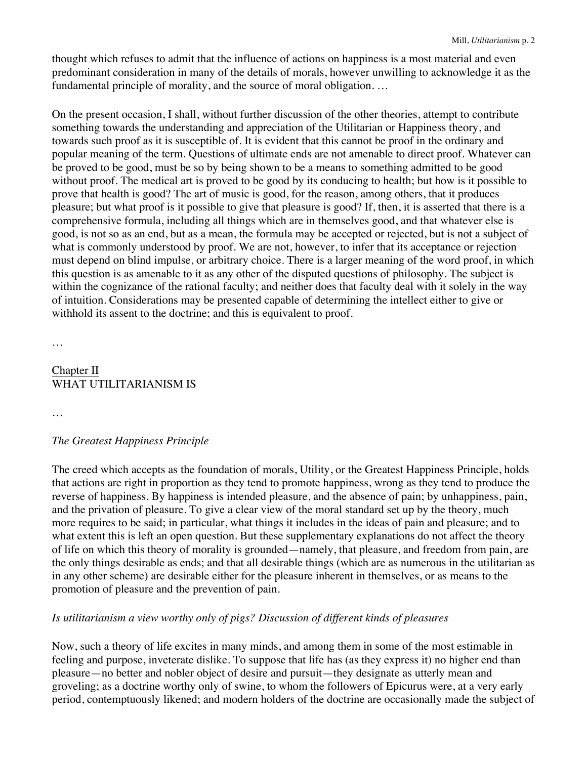thought which refuses to admit that the influence of actions on happiness is a most material and even predominant consideration in many of the details of morals, however unwilling to acknowledge it as the fundamental principle of morality, and the source of moral obligation. …

On the present occasion, I shall, without further discussion of the other theories, attempt to contribute something towards the understanding and appreciation of the Utilitarian or Happiness theory, and towards such proof as it is susceptible of. It is evident that this cannot be proof in the ordinary and popular meaning of the term. Questions of ultimate ends are not amenable to direct proof. Whatever can be proved to be good, must be so by being shown to be a means to something admitted to be good without proof. The medical art is proved to be good by its conducing to health; but how is it possible to prove that health is good? The art of music is good, for the reason, among others, that it produces pleasure; but what proof is it possible to give that pleasure is good? If, then, it is asserted that there is a comprehensive formula, including all things which are in themselves good, and that whatever else is good, is not so as an end, but as a mean, the formula may be accepted or rejected, but is not a subject of what is commonly understood by proof. We are not, however, to infer that its acceptance or rejection must depend on blind impulse, or arbitrary choice. There is a larger meaning of the word proof, in which this question is as amenable to it as any other of the disputed questions of philosophy. The subject is within the cognizance of the rational faculty; and neither does that faculty deal with it solely in the way of intuition. Considerations may be presented capable of determining the intellect either to give or withhold its assent to the doctrine; and this is equivalent to proof.

…

### Chapter II WHAT UTILITARIANISM IS

…

### *The Greatest Happiness Principle*

The creed which accepts as the foundation of morals, Utility, or the Greatest Happiness Principle, holds that actions are right in proportion as they tend to promote happiness, wrong as they tend to produce the reverse of happiness. By happiness is intended pleasure, and the absence of pain; by unhappiness, pain, and the privation of pleasure. To give a clear view of the moral standard set up by the theory, much more requires to be said; in particular, what things it includes in the ideas of pain and pleasure; and to what extent this is left an open question. But these supplementary explanations do not affect the theory of life on which this theory of morality is grounded—namely, that pleasure, and freedom from pain, are the only things desirable as ends; and that all desirable things (which are as numerous in the utilitarian as in any other scheme) are desirable either for the pleasure inherent in themselves, or as means to the promotion of pleasure and the prevention of pain.

### *Is utilitarianism a view worthy only of pigs? Discussion of different kinds of pleasures*

Now, such a theory of life excites in many minds, and among them in some of the most estimable in feeling and purpose, inveterate dislike. To suppose that life has (as they express it) no higher end than pleasure—no better and nobler object of desire and pursuit—they designate as utterly mean and groveling; as a doctrine worthy only of swine, to whom the followers of Epicurus were, at a very early period, contemptuously likened; and modern holders of the doctrine are occasionally made the subject of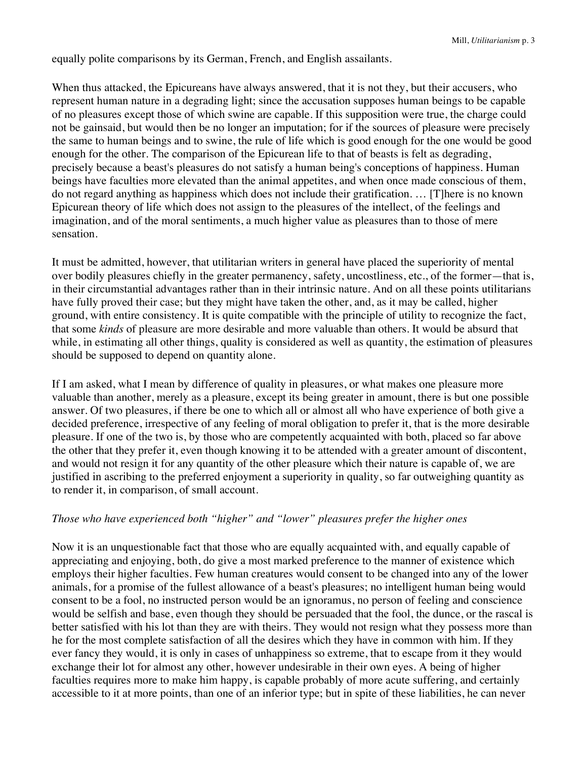equally polite comparisons by its German, French, and English assailants.

When thus attacked, the Epicureans have always answered, that it is not they, but their accusers, who represent human nature in a degrading light; since the accusation supposes human beings to be capable of no pleasures except those of which swine are capable. If this supposition were true, the charge could not be gainsaid, but would then be no longer an imputation; for if the sources of pleasure were precisely the same to human beings and to swine, the rule of life which is good enough for the one would be good enough for the other. The comparison of the Epicurean life to that of beasts is felt as degrading, precisely because a beast's pleasures do not satisfy a human being's conceptions of happiness. Human beings have faculties more elevated than the animal appetites, and when once made conscious of them, do not regard anything as happiness which does not include their gratification. … [T]here is no known Epicurean theory of life which does not assign to the pleasures of the intellect, of the feelings and imagination, and of the moral sentiments, a much higher value as pleasures than to those of mere sensation.

It must be admitted, however, that utilitarian writers in general have placed the superiority of mental over bodily pleasures chiefly in the greater permanency, safety, uncostliness, etc., of the former—that is, in their circumstantial advantages rather than in their intrinsic nature. And on all these points utilitarians have fully proved their case; but they might have taken the other, and, as it may be called, higher ground, with entire consistency. It is quite compatible with the principle of utility to recognize the fact, that some *kinds* of pleasure are more desirable and more valuable than others. It would be absurd that while, in estimating all other things, quality is considered as well as quantity, the estimation of pleasures should be supposed to depend on quantity alone.

If I am asked, what I mean by difference of quality in pleasures, or what makes one pleasure more valuable than another, merely as a pleasure, except its being greater in amount, there is but one possible answer. Of two pleasures, if there be one to which all or almost all who have experience of both give a decided preference, irrespective of any feeling of moral obligation to prefer it, that is the more desirable pleasure. If one of the two is, by those who are competently acquainted with both, placed so far above the other that they prefer it, even though knowing it to be attended with a greater amount of discontent, and would not resign it for any quantity of the other pleasure which their nature is capable of, we are justified in ascribing to the preferred enjoyment a superiority in quality, so far outweighing quantity as to render it, in comparison, of small account.

### *Those who have experienced both "higher" and "lower" pleasures prefer the higher ones*

Now it is an unquestionable fact that those who are equally acquainted with, and equally capable of appreciating and enjoying, both, do give a most marked preference to the manner of existence which employs their higher faculties. Few human creatures would consent to be changed into any of the lower animals, for a promise of the fullest allowance of a beast's pleasures; no intelligent human being would consent to be a fool, no instructed person would be an ignoramus, no person of feeling and conscience would be selfish and base, even though they should be persuaded that the fool, the dunce, or the rascal is better satisfied with his lot than they are with theirs. They would not resign what they possess more than he for the most complete satisfaction of all the desires which they have in common with him. If they ever fancy they would, it is only in cases of unhappiness so extreme, that to escape from it they would exchange their lot for almost any other, however undesirable in their own eyes. A being of higher faculties requires more to make him happy, is capable probably of more acute suffering, and certainly accessible to it at more points, than one of an inferior type; but in spite of these liabilities, he can never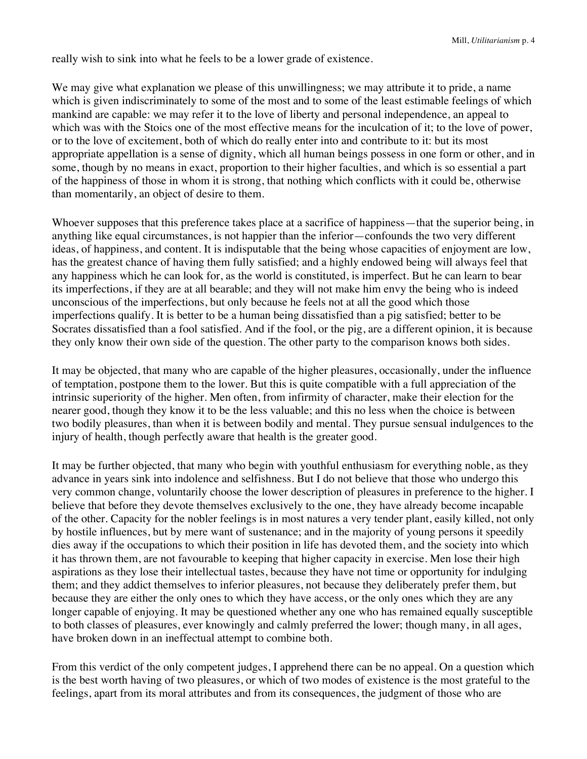really wish to sink into what he feels to be a lower grade of existence.

We may give what explanation we please of this unwillingness; we may attribute it to pride, a name which is given indiscriminately to some of the most and to some of the least estimable feelings of which mankind are capable: we may refer it to the love of liberty and personal independence, an appeal to which was with the Stoics one of the most effective means for the inculcation of it; to the love of power, or to the love of excitement, both of which do really enter into and contribute to it: but its most appropriate appellation is a sense of dignity, which all human beings possess in one form or other, and in some, though by no means in exact, proportion to their higher faculties, and which is so essential a part of the happiness of those in whom it is strong, that nothing which conflicts with it could be, otherwise than momentarily, an object of desire to them.

Whoever supposes that this preference takes place at a sacrifice of happiness—that the superior being, in anything like equal circumstances, is not happier than the inferior—confounds the two very different ideas, of happiness, and content. It is indisputable that the being whose capacities of enjoyment are low, has the greatest chance of having them fully satisfied; and a highly endowed being will always feel that any happiness which he can look for, as the world is constituted, is imperfect. But he can learn to bear its imperfections, if they are at all bearable; and they will not make him envy the being who is indeed unconscious of the imperfections, but only because he feels not at all the good which those imperfections qualify. It is better to be a human being dissatisfied than a pig satisfied; better to be Socrates dissatisfied than a fool satisfied. And if the fool, or the pig, are a different opinion, it is because they only know their own side of the question. The other party to the comparison knows both sides.

It may be objected, that many who are capable of the higher pleasures, occasionally, under the influence of temptation, postpone them to the lower. But this is quite compatible with a full appreciation of the intrinsic superiority of the higher. Men often, from infirmity of character, make their election for the nearer good, though they know it to be the less valuable; and this no less when the choice is between two bodily pleasures, than when it is between bodily and mental. They pursue sensual indulgences to the injury of health, though perfectly aware that health is the greater good.

It may be further objected, that many who begin with youthful enthusiasm for everything noble, as they advance in years sink into indolence and selfishness. But I do not believe that those who undergo this very common change, voluntarily choose the lower description of pleasures in preference to the higher. I believe that before they devote themselves exclusively to the one, they have already become incapable of the other. Capacity for the nobler feelings is in most natures a very tender plant, easily killed, not only by hostile influences, but by mere want of sustenance; and in the majority of young persons it speedily dies away if the occupations to which their position in life has devoted them, and the society into which it has thrown them, are not favourable to keeping that higher capacity in exercise. Men lose their high aspirations as they lose their intellectual tastes, because they have not time or opportunity for indulging them; and they addict themselves to inferior pleasures, not because they deliberately prefer them, but because they are either the only ones to which they have access, or the only ones which they are any longer capable of enjoying. It may be questioned whether any one who has remained equally susceptible to both classes of pleasures, ever knowingly and calmly preferred the lower; though many, in all ages, have broken down in an ineffectual attempt to combine both.

From this verdict of the only competent judges, I apprehend there can be no appeal. On a question which is the best worth having of two pleasures, or which of two modes of existence is the most grateful to the feelings, apart from its moral attributes and from its consequences, the judgment of those who are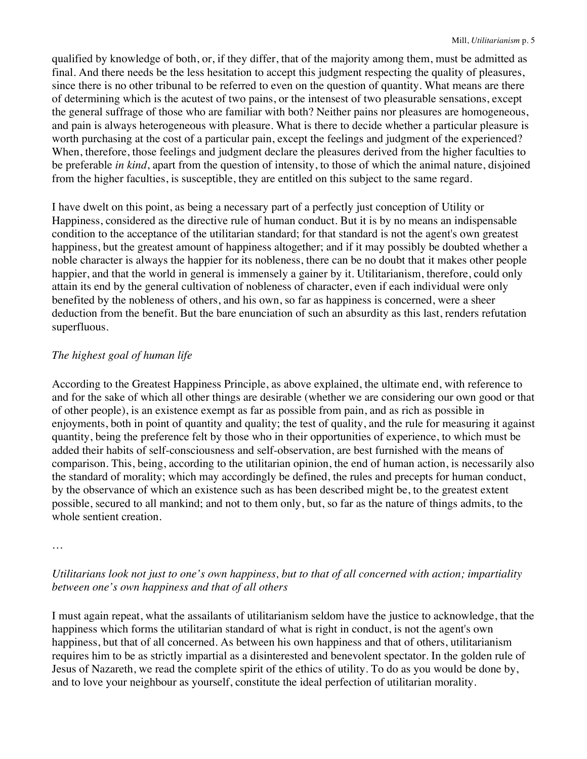qualified by knowledge of both, or, if they differ, that of the majority among them, must be admitted as final. And there needs be the less hesitation to accept this judgment respecting the quality of pleasures, since there is no other tribunal to be referred to even on the question of quantity. What means are there of determining which is the acutest of two pains, or the intensest of two pleasurable sensations, except the general suffrage of those who are familiar with both? Neither pains nor pleasures are homogeneous, and pain is always heterogeneous with pleasure. What is there to decide whether a particular pleasure is worth purchasing at the cost of a particular pain, except the feelings and judgment of the experienced? When, therefore, those feelings and judgment declare the pleasures derived from the higher faculties to be preferable *in kind*, apart from the question of intensity, to those of which the animal nature, disjoined from the higher faculties, is susceptible, they are entitled on this subject to the same regard.

I have dwelt on this point, as being a necessary part of a perfectly just conception of Utility or Happiness, considered as the directive rule of human conduct. But it is by no means an indispensable condition to the acceptance of the utilitarian standard; for that standard is not the agent's own greatest happiness, but the greatest amount of happiness altogether; and if it may possibly be doubted whether a noble character is always the happier for its nobleness, there can be no doubt that it makes other people happier, and that the world in general is immensely a gainer by it. Utilitarianism, therefore, could only attain its end by the general cultivation of nobleness of character, even if each individual were only benefited by the nobleness of others, and his own, so far as happiness is concerned, were a sheer deduction from the benefit. But the bare enunciation of such an absurdity as this last, renders refutation superfluous.

### *The highest goal of human life*

According to the Greatest Happiness Principle, as above explained, the ultimate end, with reference to and for the sake of which all other things are desirable (whether we are considering our own good or that of other people), is an existence exempt as far as possible from pain, and as rich as possible in enjoyments, both in point of quantity and quality; the test of quality, and the rule for measuring it against quantity, being the preference felt by those who in their opportunities of experience, to which must be added their habits of self-consciousness and self-observation, are best furnished with the means of comparison. This, being, according to the utilitarian opinion, the end of human action, is necessarily also the standard of morality; which may accordingly be defined, the rules and precepts for human conduct, by the observance of which an existence such as has been described might be, to the greatest extent possible, secured to all mankind; and not to them only, but, so far as the nature of things admits, to the whole sentient creation.

*Utilitarians look not just to one's own happiness, but to that of all concerned with action; impartiality between one's own happiness and that of all others*

I must again repeat, what the assailants of utilitarianism seldom have the justice to acknowledge, that the happiness which forms the utilitarian standard of what is right in conduct, is not the agent's own happiness, but that of all concerned. As between his own happiness and that of others, utilitarianism requires him to be as strictly impartial as a disinterested and benevolent spectator. In the golden rule of Jesus of Nazareth, we read the complete spirit of the ethics of utility. To do as you would be done by, and to love your neighbour as yourself, constitute the ideal perfection of utilitarian morality.

<sup>…</sup>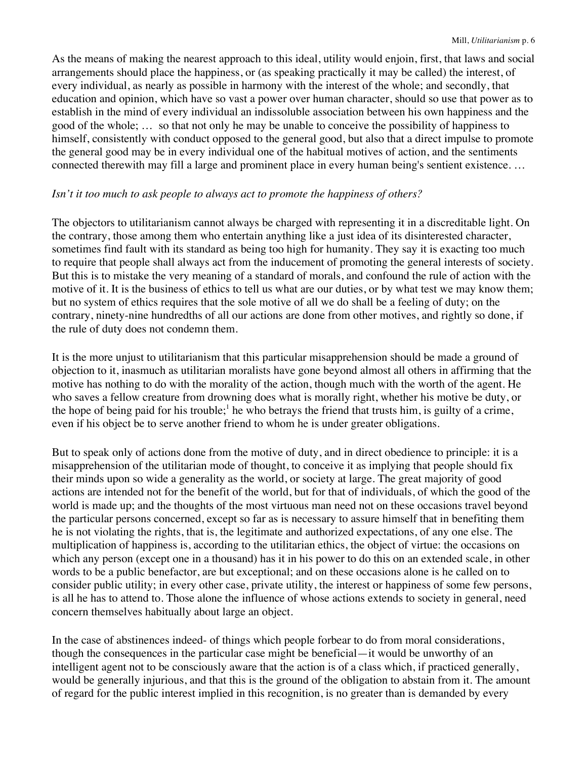As the means of making the nearest approach to this ideal, utility would enjoin, first, that laws and social arrangements should place the happiness, or (as speaking practically it may be called) the interest, of every individual, as nearly as possible in harmony with the interest of the whole; and secondly, that education and opinion, which have so vast a power over human character, should so use that power as to establish in the mind of every individual an indissoluble association between his own happiness and the good of the whole; … so that not only he may be unable to conceive the possibility of happiness to himself, consistently with conduct opposed to the general good, but also that a direct impulse to promote the general good may be in every individual one of the habitual motives of action, and the sentiments connected therewith may fill a large and prominent place in every human being's sentient existence. …

### *Isn't it too much to ask people to always act to promote the happiness of others?*

The objectors to utilitarianism cannot always be charged with representing it in a discreditable light. On the contrary, those among them who entertain anything like a just idea of its disinterested character, sometimes find fault with its standard as being too high for humanity. They say it is exacting too much to require that people shall always act from the inducement of promoting the general interests of society. But this is to mistake the very meaning of a standard of morals, and confound the rule of action with the motive of it. It is the business of ethics to tell us what are our duties, or by what test we may know them; but no system of ethics requires that the sole motive of all we do shall be a feeling of duty; on the contrary, ninety-nine hundredths of all our actions are done from other motives, and rightly so done, if the rule of duty does not condemn them.

It is the more unjust to utilitarianism that this particular misapprehension should be made a ground of objection to it, inasmuch as utilitarian moralists have gone beyond almost all others in affirming that the motive has nothing to do with the morality of the action, though much with the worth of the agent. He who saves a fellow creature from drowning does what is morally right, whether his motive be duty, or the hope of being paid for his trouble;<sup>1</sup> he who betrays the friend that trusts him, is guilty of a crime, even if his object be to serve another friend to whom he is under greater obligations.

But to speak only of actions done from the motive of duty, and in direct obedience to principle: it is a misapprehension of the utilitarian mode of thought, to conceive it as implying that people should fix their minds upon so wide a generality as the world, or society at large. The great majority of good actions are intended not for the benefit of the world, but for that of individuals, of which the good of the world is made up; and the thoughts of the most virtuous man need not on these occasions travel beyond the particular persons concerned, except so far as is necessary to assure himself that in benefiting them he is not violating the rights, that is, the legitimate and authorized expectations, of any one else. The multiplication of happiness is, according to the utilitarian ethics, the object of virtue: the occasions on which any person (except one in a thousand) has it in his power to do this on an extended scale, in other words to be a public benefactor, are but exceptional; and on these occasions alone is he called on to consider public utility; in every other case, private utility, the interest or happiness of some few persons, is all he has to attend to. Those alone the influence of whose actions extends to society in general, need concern themselves habitually about large an object.

In the case of abstinences indeed- of things which people forbear to do from moral considerations, though the consequences in the particular case might be beneficial—it would be unworthy of an intelligent agent not to be consciously aware that the action is of a class which, if practiced generally, would be generally injurious, and that this is the ground of the obligation to abstain from it. The amount of regard for the public interest implied in this recognition, is no greater than is demanded by every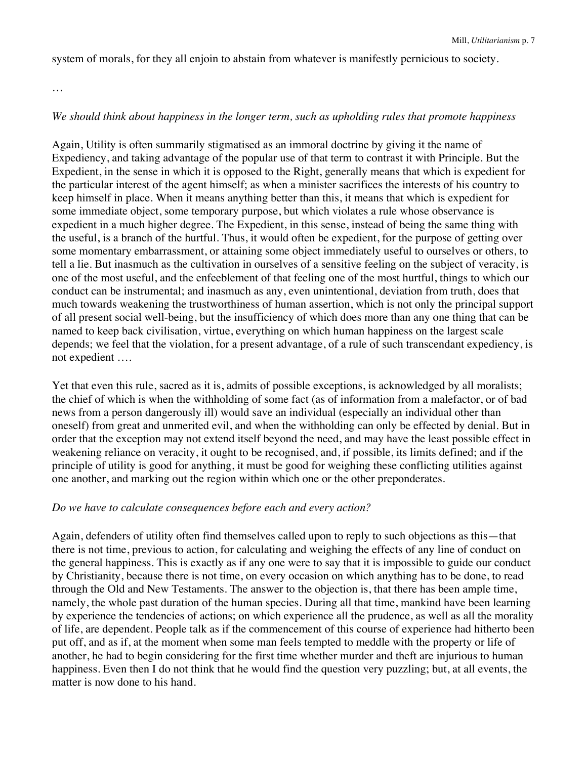system of morals, for they all enjoin to abstain from whatever is manifestly pernicious to society.

…

### *We should think about happiness in the longer term, such as upholding rules that promote happiness*

Again, Utility is often summarily stigmatised as an immoral doctrine by giving it the name of Expediency, and taking advantage of the popular use of that term to contrast it with Principle. But the Expedient, in the sense in which it is opposed to the Right, generally means that which is expedient for the particular interest of the agent himself; as when a minister sacrifices the interests of his country to keep himself in place. When it means anything better than this, it means that which is expedient for some immediate object, some temporary purpose, but which violates a rule whose observance is expedient in a much higher degree. The Expedient, in this sense, instead of being the same thing with the useful, is a branch of the hurtful. Thus, it would often be expedient, for the purpose of getting over some momentary embarrassment, or attaining some object immediately useful to ourselves or others, to tell a lie. But inasmuch as the cultivation in ourselves of a sensitive feeling on the subject of veracity, is one of the most useful, and the enfeeblement of that feeling one of the most hurtful, things to which our conduct can be instrumental; and inasmuch as any, even unintentional, deviation from truth, does that much towards weakening the trustworthiness of human assertion, which is not only the principal support of all present social well-being, but the insufficiency of which does more than any one thing that can be named to keep back civilisation, virtue, everything on which human happiness on the largest scale depends; we feel that the violation, for a present advantage, of a rule of such transcendant expediency, is not expedient ….

Yet that even this rule, sacred as it is, admits of possible exceptions, is acknowledged by all moralists; the chief of which is when the withholding of some fact (as of information from a malefactor, or of bad news from a person dangerously ill) would save an individual (especially an individual other than oneself) from great and unmerited evil, and when the withholding can only be effected by denial. But in order that the exception may not extend itself beyond the need, and may have the least possible effect in weakening reliance on veracity, it ought to be recognised, and, if possible, its limits defined; and if the principle of utility is good for anything, it must be good for weighing these conflicting utilities against one another, and marking out the region within which one or the other preponderates.

### *Do we have to calculate consequences before each and every action?*

Again, defenders of utility often find themselves called upon to reply to such objections as this—that there is not time, previous to action, for calculating and weighing the effects of any line of conduct on the general happiness. This is exactly as if any one were to say that it is impossible to guide our conduct by Christianity, because there is not time, on every occasion on which anything has to be done, to read through the Old and New Testaments. The answer to the objection is, that there has been ample time, namely, the whole past duration of the human species. During all that time, mankind have been learning by experience the tendencies of actions; on which experience all the prudence, as well as all the morality of life, are dependent. People talk as if the commencement of this course of experience had hitherto been put off, and as if, at the moment when some man feels tempted to meddle with the property or life of another, he had to begin considering for the first time whether murder and theft are injurious to human happiness. Even then I do not think that he would find the question very puzzling; but, at all events, the matter is now done to his hand.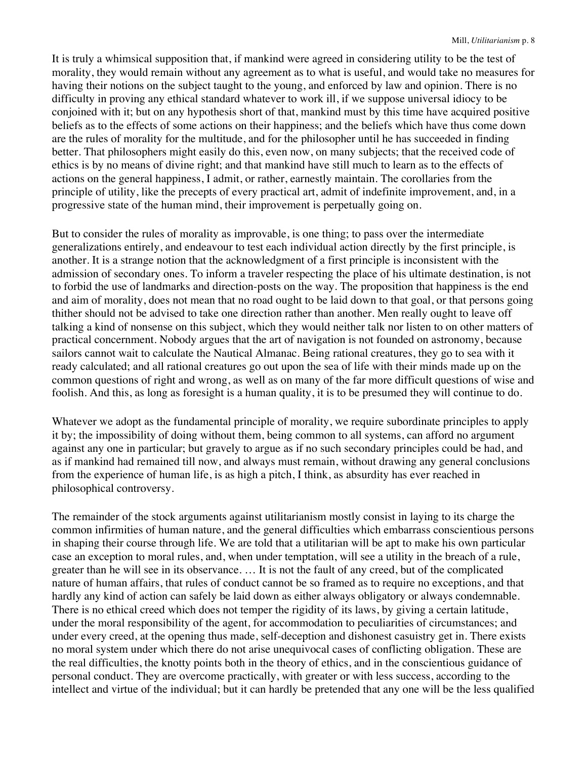It is truly a whimsical supposition that, if mankind were agreed in considering utility to be the test of morality, they would remain without any agreement as to what is useful, and would take no measures for having their notions on the subject taught to the young, and enforced by law and opinion. There is no difficulty in proving any ethical standard whatever to work ill, if we suppose universal idiocy to be conjoined with it; but on any hypothesis short of that, mankind must by this time have acquired positive beliefs as to the effects of some actions on their happiness; and the beliefs which have thus come down are the rules of morality for the multitude, and for the philosopher until he has succeeded in finding better. That philosophers might easily do this, even now, on many subjects; that the received code of ethics is by no means of divine right; and that mankind have still much to learn as to the effects of actions on the general happiness, I admit, or rather, earnestly maintain. The corollaries from the principle of utility, like the precepts of every practical art, admit of indefinite improvement, and, in a progressive state of the human mind, their improvement is perpetually going on.

But to consider the rules of morality as improvable, is one thing; to pass over the intermediate generalizations entirely, and endeavour to test each individual action directly by the first principle, is another. It is a strange notion that the acknowledgment of a first principle is inconsistent with the admission of secondary ones. To inform a traveler respecting the place of his ultimate destination, is not to forbid the use of landmarks and direction-posts on the way. The proposition that happiness is the end and aim of morality, does not mean that no road ought to be laid down to that goal, or that persons going thither should not be advised to take one direction rather than another. Men really ought to leave off talking a kind of nonsense on this subject, which they would neither talk nor listen to on other matters of practical concernment. Nobody argues that the art of navigation is not founded on astronomy, because sailors cannot wait to calculate the Nautical Almanac. Being rational creatures, they go to sea with it ready calculated; and all rational creatures go out upon the sea of life with their minds made up on the common questions of right and wrong, as well as on many of the far more difficult questions of wise and foolish. And this, as long as foresight is a human quality, it is to be presumed they will continue to do.

Whatever we adopt as the fundamental principle of morality, we require subordinate principles to apply it by; the impossibility of doing without them, being common to all systems, can afford no argument against any one in particular; but gravely to argue as if no such secondary principles could be had, and as if mankind had remained till now, and always must remain, without drawing any general conclusions from the experience of human life, is as high a pitch, I think, as absurdity has ever reached in philosophical controversy.

The remainder of the stock arguments against utilitarianism mostly consist in laying to its charge the common infirmities of human nature, and the general difficulties which embarrass conscientious persons in shaping their course through life. We are told that a utilitarian will be apt to make his own particular case an exception to moral rules, and, when under temptation, will see a utility in the breach of a rule, greater than he will see in its observance. … It is not the fault of any creed, but of the complicated nature of human affairs, that rules of conduct cannot be so framed as to require no exceptions, and that hardly any kind of action can safely be laid down as either always obligatory or always condemnable. There is no ethical creed which does not temper the rigidity of its laws, by giving a certain latitude, under the moral responsibility of the agent, for accommodation to peculiarities of circumstances; and under every creed, at the opening thus made, self-deception and dishonest casuistry get in. There exists no moral system under which there do not arise unequivocal cases of conflicting obligation. These are the real difficulties, the knotty points both in the theory of ethics, and in the conscientious guidance of personal conduct. They are overcome practically, with greater or with less success, according to the intellect and virtue of the individual; but it can hardly be pretended that any one will be the less qualified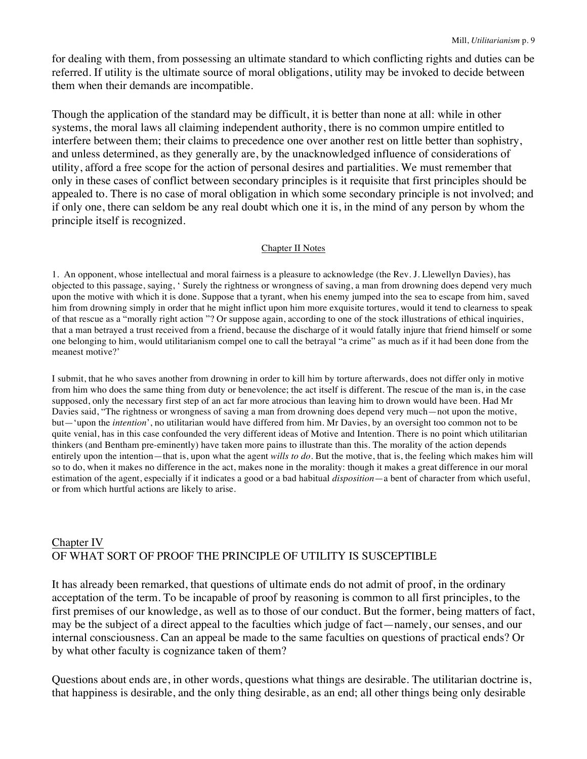for dealing with them, from possessing an ultimate standard to which conflicting rights and duties can be referred. If utility is the ultimate source of moral obligations, utility may be invoked to decide between them when their demands are incompatible.

Though the application of the standard may be difficult, it is better than none at all: while in other systems, the moral laws all claiming independent authority, there is no common umpire entitled to interfere between them; their claims to precedence one over another rest on little better than sophistry, and unless determined, as they generally are, by the unacknowledged influence of considerations of utility, afford a free scope for the action of personal desires and partialities. We must remember that only in these cases of conflict between secondary principles is it requisite that first principles should be appealed to. There is no case of moral obligation in which some secondary principle is not involved; and if only one, there can seldom be any real doubt which one it is, in the mind of any person by whom the principle itself is recognized.

#### Chapter II Notes

1. An opponent, whose intellectual and moral fairness is a pleasure to acknowledge (the Rev. J. Llewellyn Davies), has objected to this passage, saying, ' Surely the rightness or wrongness of saving, a man from drowning does depend very much upon the motive with which it is done. Suppose that a tyrant, when his enemy jumped into the sea to escape from him, saved him from drowning simply in order that he might inflict upon him more exquisite tortures, would it tend to clearness to speak of that rescue as a "morally right action "? Or suppose again, according to one of the stock illustrations of ethical inquiries, that a man betrayed a trust received from a friend, because the discharge of it would fatally injure that friend himself or some one belonging to him, would utilitarianism compel one to call the betrayal "a crime" as much as if it had been done from the meanest motive?'

I submit, that he who saves another from drowning in order to kill him by torture afterwards, does not differ only in motive from him who does the same thing from duty or benevolence; the act itself is different. The rescue of the man is, in the case supposed, only the necessary first step of an act far more atrocious than leaving him to drown would have been. Had Mr Davies said, "The rightness or wrongness of saving a man from drowning does depend very much—not upon the motive, but—'upon the *intention*', no utilitarian would have differed from him. Mr Davies, by an oversight too common not to be quite venial, has in this case confounded the very different ideas of Motive and Intention. There is no point which utilitarian thinkers (and Bentham pre-eminently) have taken more pains to illustrate than this. The morality of the action depends entirely upon the intention—that is, upon what the agent *wills to do*. But the motive, that is, the feeling which makes him will so to do, when it makes no difference in the act, makes none in the morality: though it makes a great difference in our moral estimation of the agent, especially if it indicates a good or a bad habitual *disposition*—a bent of character from which useful, or from which hurtful actions are likely to arise.

# Chapter IV OF WHAT SORT OF PROOF THE PRINCIPLE OF UTILITY IS SUSCEPTIBLE

It has already been remarked, that questions of ultimate ends do not admit of proof, in the ordinary acceptation of the term. To be incapable of proof by reasoning is common to all first principles, to the first premises of our knowledge, as well as to those of our conduct. But the former, being matters of fact, may be the subject of a direct appeal to the faculties which judge of fact—namely, our senses, and our internal consciousness. Can an appeal be made to the same faculties on questions of practical ends? Or by what other faculty is cognizance taken of them?

Questions about ends are, in other words, questions what things are desirable. The utilitarian doctrine is, that happiness is desirable, and the only thing desirable, as an end; all other things being only desirable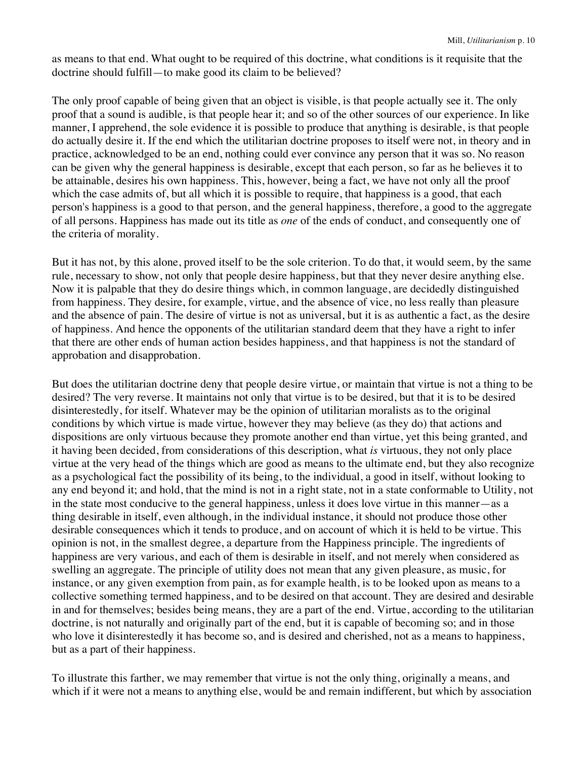as means to that end. What ought to be required of this doctrine, what conditions is it requisite that the doctrine should fulfill—to make good its claim to be believed?

The only proof capable of being given that an object is visible, is that people actually see it. The only proof that a sound is audible, is that people hear it; and so of the other sources of our experience. In like manner, I apprehend, the sole evidence it is possible to produce that anything is desirable, is that people do actually desire it. If the end which the utilitarian doctrine proposes to itself were not, in theory and in practice, acknowledged to be an end, nothing could ever convince any person that it was so. No reason can be given why the general happiness is desirable, except that each person, so far as he believes it to be attainable, desires his own happiness. This, however, being a fact, we have not only all the proof which the case admits of, but all which it is possible to require, that happiness is a good, that each person's happiness is a good to that person, and the general happiness, therefore, a good to the aggregate of all persons. Happiness has made out its title as *one* of the ends of conduct, and consequently one of the criteria of morality.

But it has not, by this alone, proved itself to be the sole criterion. To do that, it would seem, by the same rule, necessary to show, not only that people desire happiness, but that they never desire anything else. Now it is palpable that they do desire things which, in common language, are decidedly distinguished from happiness. They desire, for example, virtue, and the absence of vice, no less really than pleasure and the absence of pain. The desire of virtue is not as universal, but it is as authentic a fact, as the desire of happiness. And hence the opponents of the utilitarian standard deem that they have a right to infer that there are other ends of human action besides happiness, and that happiness is not the standard of approbation and disapprobation.

But does the utilitarian doctrine deny that people desire virtue, or maintain that virtue is not a thing to be desired? The very reverse. It maintains not only that virtue is to be desired, but that it is to be desired disinterestedly, for itself. Whatever may be the opinion of utilitarian moralists as to the original conditions by which virtue is made virtue, however they may believe (as they do) that actions and dispositions are only virtuous because they promote another end than virtue, yet this being granted, and it having been decided, from considerations of this description, what *is* virtuous, they not only place virtue at the very head of the things which are good as means to the ultimate end, but they also recognize as a psychological fact the possibility of its being, to the individual, a good in itself, without looking to any end beyond it; and hold, that the mind is not in a right state, not in a state conformable to Utility, not in the state most conducive to the general happiness, unless it does love virtue in this manner—as a thing desirable in itself, even although, in the individual instance, it should not produce those other desirable consequences which it tends to produce, and on account of which it is held to be virtue. This opinion is not, in the smallest degree, a departure from the Happiness principle. The ingredients of happiness are very various, and each of them is desirable in itself, and not merely when considered as swelling an aggregate. The principle of utility does not mean that any given pleasure, as music, for instance, or any given exemption from pain, as for example health, is to be looked upon as means to a collective something termed happiness, and to be desired on that account. They are desired and desirable in and for themselves; besides being means, they are a part of the end. Virtue, according to the utilitarian doctrine, is not naturally and originally part of the end, but it is capable of becoming so; and in those who love it disinterestedly it has become so, and is desired and cherished, not as a means to happiness, but as a part of their happiness.

To illustrate this farther, we may remember that virtue is not the only thing, originally a means, and which if it were not a means to anything else, would be and remain indifferent, but which by association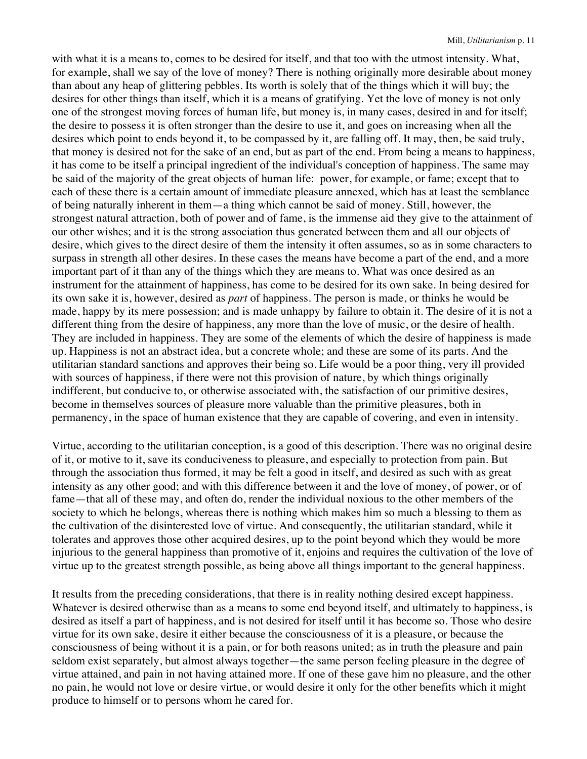with what it is a means to, comes to be desired for itself, and that too with the utmost intensity. What, for example, shall we say of the love of money? There is nothing originally more desirable about money than about any heap of glittering pebbles. Its worth is solely that of the things which it will buy; the desires for other things than itself, which it is a means of gratifying. Yet the love of money is not only one of the strongest moving forces of human life, but money is, in many cases, desired in and for itself; the desire to possess it is often stronger than the desire to use it, and goes on increasing when all the desires which point to ends beyond it, to be compassed by it, are falling off. It may, then, be said truly, that money is desired not for the sake of an end, but as part of the end. From being a means to happiness, it has come to be itself a principal ingredient of the individual's conception of happiness. The same may be said of the majority of the great objects of human life: power, for example, or fame; except that to each of these there is a certain amount of immediate pleasure annexed, which has at least the semblance of being naturally inherent in them—a thing which cannot be said of money. Still, however, the strongest natural attraction, both of power and of fame, is the immense aid they give to the attainment of our other wishes; and it is the strong association thus generated between them and all our objects of desire, which gives to the direct desire of them the intensity it often assumes, so as in some characters to surpass in strength all other desires. In these cases the means have become a part of the end, and a more important part of it than any of the things which they are means to. What was once desired as an instrument for the attainment of happiness, has come to be desired for its own sake. In being desired for its own sake it is, however, desired as *part* of happiness. The person is made, or thinks he would be made, happy by its mere possession; and is made unhappy by failure to obtain it. The desire of it is not a different thing from the desire of happiness, any more than the love of music, or the desire of health. They are included in happiness. They are some of the elements of which the desire of happiness is made up. Happiness is not an abstract idea, but a concrete whole; and these are some of its parts. And the utilitarian standard sanctions and approves their being so. Life would be a poor thing, very ill provided with sources of happiness, if there were not this provision of nature, by which things originally indifferent, but conducive to, or otherwise associated with, the satisfaction of our primitive desires, become in themselves sources of pleasure more valuable than the primitive pleasures, both in permanency, in the space of human existence that they are capable of covering, and even in intensity.

Virtue, according to the utilitarian conception, is a good of this description. There was no original desire of it, or motive to it, save its conduciveness to pleasure, and especially to protection from pain. But through the association thus formed, it may be felt a good in itself, and desired as such with as great intensity as any other good; and with this difference between it and the love of money, of power, or of fame—that all of these may, and often do, render the individual noxious to the other members of the society to which he belongs, whereas there is nothing which makes him so much a blessing to them as the cultivation of the disinterested love of virtue. And consequently, the utilitarian standard, while it tolerates and approves those other acquired desires, up to the point beyond which they would be more injurious to the general happiness than promotive of it, enjoins and requires the cultivation of the love of virtue up to the greatest strength possible, as being above all things important to the general happiness.

It results from the preceding considerations, that there is in reality nothing desired except happiness. Whatever is desired otherwise than as a means to some end beyond itself, and ultimately to happiness, is desired as itself a part of happiness, and is not desired for itself until it has become so. Those who desire virtue for its own sake, desire it either because the consciousness of it is a pleasure, or because the consciousness of being without it is a pain, or for both reasons united; as in truth the pleasure and pain seldom exist separately, but almost always together—the same person feeling pleasure in the degree of virtue attained, and pain in not having attained more. If one of these gave him no pleasure, and the other no pain, he would not love or desire virtue, or would desire it only for the other benefits which it might produce to himself or to persons whom he cared for.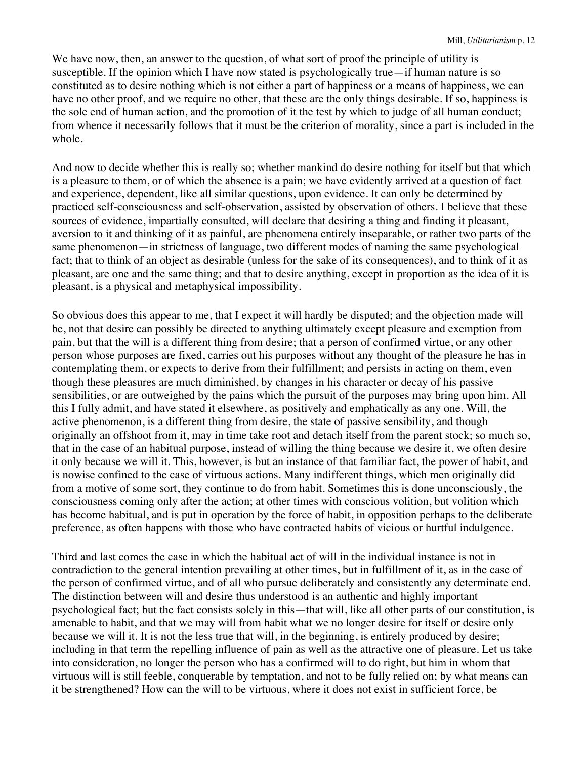We have now, then, an answer to the question, of what sort of proof the principle of utility is susceptible. If the opinion which I have now stated is psychologically true—if human nature is so constituted as to desire nothing which is not either a part of happiness or a means of happiness, we can have no other proof, and we require no other, that these are the only things desirable. If so, happiness is the sole end of human action, and the promotion of it the test by which to judge of all human conduct; from whence it necessarily follows that it must be the criterion of morality, since a part is included in the whole.

And now to decide whether this is really so; whether mankind do desire nothing for itself but that which is a pleasure to them, or of which the absence is a pain; we have evidently arrived at a question of fact and experience, dependent, like all similar questions, upon evidence. It can only be determined by practiced self-consciousness and self-observation, assisted by observation of others. I believe that these sources of evidence, impartially consulted, will declare that desiring a thing and finding it pleasant, aversion to it and thinking of it as painful, are phenomena entirely inseparable, or rather two parts of the same phenomenon—in strictness of language, two different modes of naming the same psychological fact; that to think of an object as desirable (unless for the sake of its consequences), and to think of it as pleasant, are one and the same thing; and that to desire anything, except in proportion as the idea of it is pleasant, is a physical and metaphysical impossibility.

So obvious does this appear to me, that I expect it will hardly be disputed; and the objection made will be, not that desire can possibly be directed to anything ultimately except pleasure and exemption from pain, but that the will is a different thing from desire; that a person of confirmed virtue, or any other person whose purposes are fixed, carries out his purposes without any thought of the pleasure he has in contemplating them, or expects to derive from their fulfillment; and persists in acting on them, even though these pleasures are much diminished, by changes in his character or decay of his passive sensibilities, or are outweighed by the pains which the pursuit of the purposes may bring upon him. All this I fully admit, and have stated it elsewhere, as positively and emphatically as any one. Will, the active phenomenon, is a different thing from desire, the state of passive sensibility, and though originally an offshoot from it, may in time take root and detach itself from the parent stock; so much so, that in the case of an habitual purpose, instead of willing the thing because we desire it, we often desire it only because we will it. This, however, is but an instance of that familiar fact, the power of habit, and is nowise confined to the case of virtuous actions. Many indifferent things, which men originally did from a motive of some sort, they continue to do from habit. Sometimes this is done unconsciously, the consciousness coming only after the action; at other times with conscious volition, but volition which has become habitual, and is put in operation by the force of habit, in opposition perhaps to the deliberate preference, as often happens with those who have contracted habits of vicious or hurtful indulgence.

Third and last comes the case in which the habitual act of will in the individual instance is not in contradiction to the general intention prevailing at other times, but in fulfillment of it, as in the case of the person of confirmed virtue, and of all who pursue deliberately and consistently any determinate end. The distinction between will and desire thus understood is an authentic and highly important psychological fact; but the fact consists solely in this—that will, like all other parts of our constitution, is amenable to habit, and that we may will from habit what we no longer desire for itself or desire only because we will it. It is not the less true that will, in the beginning, is entirely produced by desire; including in that term the repelling influence of pain as well as the attractive one of pleasure. Let us take into consideration, no longer the person who has a confirmed will to do right, but him in whom that virtuous will is still feeble, conquerable by temptation, and not to be fully relied on; by what means can it be strengthened? How can the will to be virtuous, where it does not exist in sufficient force, be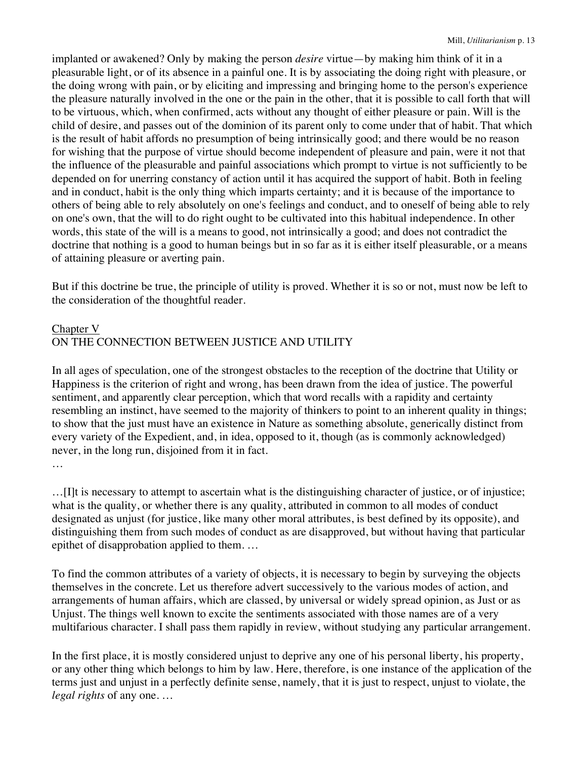implanted or awakened? Only by making the person *desire* virtue—by making him think of it in a pleasurable light, or of its absence in a painful one. It is by associating the doing right with pleasure, or the doing wrong with pain, or by eliciting and impressing and bringing home to the person's experience the pleasure naturally involved in the one or the pain in the other, that it is possible to call forth that will to be virtuous, which, when confirmed, acts without any thought of either pleasure or pain. Will is the child of desire, and passes out of the dominion of its parent only to come under that of habit. That which is the result of habit affords no presumption of being intrinsically good; and there would be no reason for wishing that the purpose of virtue should become independent of pleasure and pain, were it not that the influence of the pleasurable and painful associations which prompt to virtue is not sufficiently to be depended on for unerring constancy of action until it has acquired the support of habit. Both in feeling and in conduct, habit is the only thing which imparts certainty; and it is because of the importance to others of being able to rely absolutely on one's feelings and conduct, and to oneself of being able to rely on one's own, that the will to do right ought to be cultivated into this habitual independence. In other words, this state of the will is a means to good, not intrinsically a good; and does not contradict the doctrine that nothing is a good to human beings but in so far as it is either itself pleasurable, or a means of attaining pleasure or averting pain.

But if this doctrine be true, the principle of utility is proved. Whether it is so or not, must now be left to the consideration of the thoughtful reader.

# Chapter V ON THE CONNECTION BETWEEN JUSTICE AND UTILITY

In all ages of speculation, one of the strongest obstacles to the reception of the doctrine that Utility or Happiness is the criterion of right and wrong, has been drawn from the idea of justice. The powerful sentiment, and apparently clear perception, which that word recalls with a rapidity and certainty resembling an instinct, have seemed to the majority of thinkers to point to an inherent quality in things; to show that the just must have an existence in Nature as something absolute, generically distinct from every variety of the Expedient, and, in idea, opposed to it, though (as is commonly acknowledged) never, in the long run, disjoined from it in fact.

…

…[I]t is necessary to attempt to ascertain what is the distinguishing character of justice, or of injustice; what is the quality, or whether there is any quality, attributed in common to all modes of conduct designated as unjust (for justice, like many other moral attributes, is best defined by its opposite), and distinguishing them from such modes of conduct as are disapproved, but without having that particular epithet of disapprobation applied to them. …

To find the common attributes of a variety of objects, it is necessary to begin by surveying the objects themselves in the concrete. Let us therefore advert successively to the various modes of action, and arrangements of human affairs, which are classed, by universal or widely spread opinion, as Just or as Unjust. The things well known to excite the sentiments associated with those names are of a very multifarious character. I shall pass them rapidly in review, without studying any particular arrangement.

In the first place, it is mostly considered unjust to deprive any one of his personal liberty, his property, or any other thing which belongs to him by law. Here, therefore, is one instance of the application of the terms just and unjust in a perfectly definite sense, namely, that it is just to respect, unjust to violate, the *legal rights* of any one. …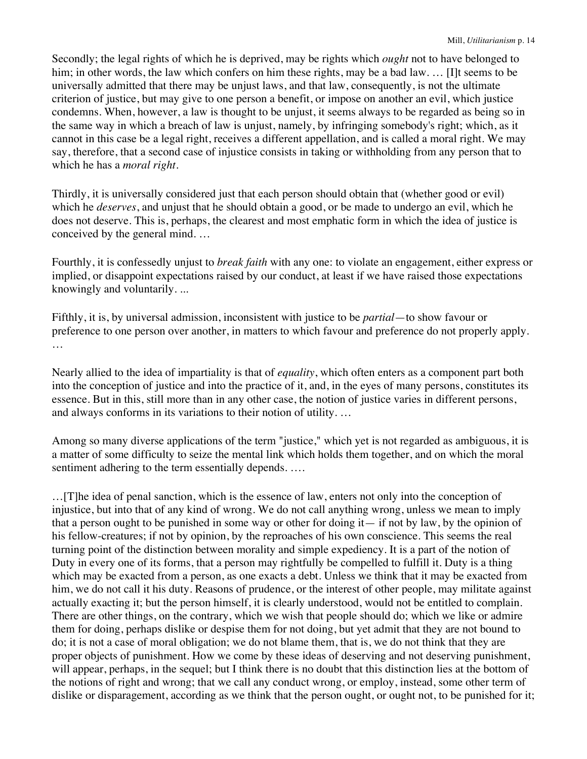Secondly; the legal rights of which he is deprived, may be rights which *ought* not to have belonged to him; in other words, the law which confers on him these rights, may be a bad law. ... [I]t seems to be universally admitted that there may be unjust laws, and that law, consequently, is not the ultimate criterion of justice, but may give to one person a benefit, or impose on another an evil, which justice condemns. When, however, a law is thought to be unjust, it seems always to be regarded as being so in the same way in which a breach of law is unjust, namely, by infringing somebody's right; which, as it cannot in this case be a legal right, receives a different appellation, and is called a moral right. We may say, therefore, that a second case of injustice consists in taking or withholding from any person that to which he has a *moral right*.

Thirdly, it is universally considered just that each person should obtain that (whether good or evil) which he *deserves*, and unjust that he should obtain a good, or be made to undergo an evil, which he does not deserve. This is, perhaps, the clearest and most emphatic form in which the idea of justice is conceived by the general mind. …

Fourthly, it is confessedly unjust to *break faith* with any one: to violate an engagement, either express or implied, or disappoint expectations raised by our conduct, at least if we have raised those expectations knowingly and voluntarily. ...

Fifthly, it is, by universal admission, inconsistent with justice to be *partial*—to show favour or preference to one person over another, in matters to which favour and preference do not properly apply. …

Nearly allied to the idea of impartiality is that of *equality*, which often enters as a component part both into the conception of justice and into the practice of it, and, in the eyes of many persons, constitutes its essence. But in this, still more than in any other case, the notion of justice varies in different persons, and always conforms in its variations to their notion of utility. …

Among so many diverse applications of the term "justice," which yet is not regarded as ambiguous, it is a matter of some difficulty to seize the mental link which holds them together, and on which the moral sentiment adhering to the term essentially depends. ....

…[T]he idea of penal sanction, which is the essence of law, enters not only into the conception of injustice, but into that of any kind of wrong. We do not call anything wrong, unless we mean to imply that a person ought to be punished in some way or other for doing it— if not by law, by the opinion of his fellow-creatures; if not by opinion, by the reproaches of his own conscience. This seems the real turning point of the distinction between morality and simple expediency. It is a part of the notion of Duty in every one of its forms, that a person may rightfully be compelled to fulfill it. Duty is a thing which may be exacted from a person, as one exacts a debt. Unless we think that it may be exacted from him, we do not call it his duty. Reasons of prudence, or the interest of other people, may militate against actually exacting it; but the person himself, it is clearly understood, would not be entitled to complain. There are other things, on the contrary, which we wish that people should do; which we like or admire them for doing, perhaps dislike or despise them for not doing, but yet admit that they are not bound to do; it is not a case of moral obligation; we do not blame them, that is, we do not think that they are proper objects of punishment. How we come by these ideas of deserving and not deserving punishment, will appear, perhaps, in the sequel; but I think there is no doubt that this distinction lies at the bottom of the notions of right and wrong; that we call any conduct wrong, or employ, instead, some other term of dislike or disparagement, according as we think that the person ought, or ought not, to be punished for it;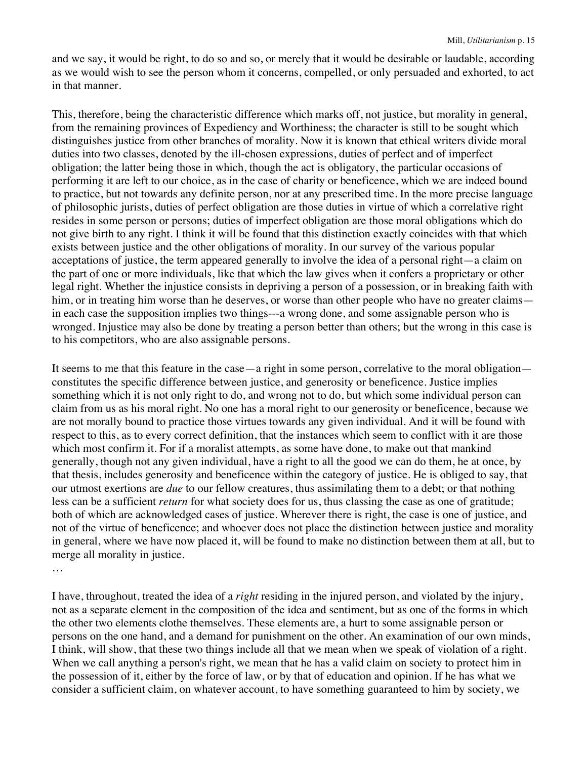and we say, it would be right, to do so and so, or merely that it would be desirable or laudable, according as we would wish to see the person whom it concerns, compelled, or only persuaded and exhorted, to act in that manner.

This, therefore, being the characteristic difference which marks off, not justice, but morality in general, from the remaining provinces of Expediency and Worthiness; the character is still to be sought which distinguishes justice from other branches of morality. Now it is known that ethical writers divide moral duties into two classes, denoted by the ill-chosen expressions, duties of perfect and of imperfect obligation; the latter being those in which, though the act is obligatory, the particular occasions of performing it are left to our choice, as in the case of charity or beneficence, which we are indeed bound to practice, but not towards any definite person, nor at any prescribed time. In the more precise language of philosophic jurists, duties of perfect obligation are those duties in virtue of which a correlative right resides in some person or persons; duties of imperfect obligation are those moral obligations which do not give birth to any right. I think it will be found that this distinction exactly coincides with that which exists between justice and the other obligations of morality. In our survey of the various popular acceptations of justice, the term appeared generally to involve the idea of a personal right—a claim on the part of one or more individuals, like that which the law gives when it confers a proprietary or other legal right. Whether the injustice consists in depriving a person of a possession, or in breaking faith with him, or in treating him worse than he deserves, or worse than other people who have no greater claims in each case the supposition implies two things---a wrong done, and some assignable person who is wronged. Injustice may also be done by treating a person better than others; but the wrong in this case is to his competitors, who are also assignable persons.

It seems to me that this feature in the case—a right in some person, correlative to the moral obligation constitutes the specific difference between justice, and generosity or beneficence. Justice implies something which it is not only right to do, and wrong not to do, but which some individual person can claim from us as his moral right. No one has a moral right to our generosity or beneficence, because we are not morally bound to practice those virtues towards any given individual. And it will be found with respect to this, as to every correct definition, that the instances which seem to conflict with it are those which most confirm it. For if a moralist attempts, as some have done, to make out that mankind generally, though not any given individual, have a right to all the good we can do them, he at once, by that thesis, includes generosity and beneficence within the category of justice. He is obliged to say, that our utmost exertions are *due* to our fellow creatures, thus assimilating them to a debt; or that nothing less can be a sufficient *return* for what society does for us, thus classing the case as one of gratitude; both of which are acknowledged cases of justice. Wherever there is right, the case is one of justice, and not of the virtue of beneficence; and whoever does not place the distinction between justice and morality in general, where we have now placed it, will be found to make no distinction between them at all, but to merge all morality in justice.

…

I have, throughout, treated the idea of a *right* residing in the injured person, and violated by the injury, not as a separate element in the composition of the idea and sentiment, but as one of the forms in which the other two elements clothe themselves. These elements are, a hurt to some assignable person or persons on the one hand, and a demand for punishment on the other. An examination of our own minds, I think, will show, that these two things include all that we mean when we speak of violation of a right. When we call anything a person's right, we mean that he has a valid claim on society to protect him in the possession of it, either by the force of law, or by that of education and opinion. If he has what we consider a sufficient claim, on whatever account, to have something guaranteed to him by society, we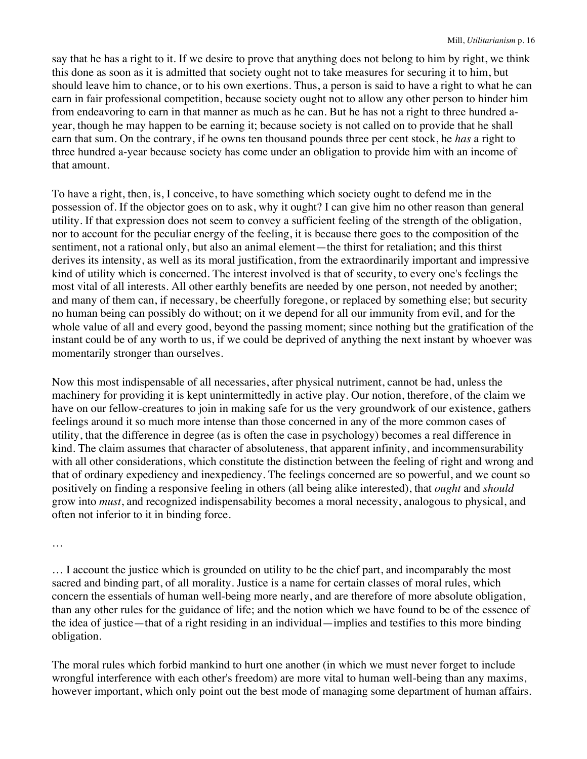say that he has a right to it. If we desire to prove that anything does not belong to him by right, we think this done as soon as it is admitted that society ought not to take measures for securing it to him, but should leave him to chance, or to his own exertions. Thus, a person is said to have a right to what he can earn in fair professional competition, because society ought not to allow any other person to hinder him from endeavoring to earn in that manner as much as he can. But he has not a right to three hundred ayear, though he may happen to be earning it; because society is not called on to provide that he shall earn that sum. On the contrary, if he owns ten thousand pounds three per cent stock, he *has* a right to three hundred a-year because society has come under an obligation to provide him with an income of that amount.

To have a right, then, is, I conceive, to have something which society ought to defend me in the possession of. If the objector goes on to ask, why it ought? I can give him no other reason than general utility. If that expression does not seem to convey a sufficient feeling of the strength of the obligation, nor to account for the peculiar energy of the feeling, it is because there goes to the composition of the sentiment, not a rational only, but also an animal element—the thirst for retaliation; and this thirst derives its intensity, as well as its moral justification, from the extraordinarily important and impressive kind of utility which is concerned. The interest involved is that of security, to every one's feelings the most vital of all interests. All other earthly benefits are needed by one person, not needed by another; and many of them can, if necessary, be cheerfully foregone, or replaced by something else; but security no human being can possibly do without; on it we depend for all our immunity from evil, and for the whole value of all and every good, beyond the passing moment; since nothing but the gratification of the instant could be of any worth to us, if we could be deprived of anything the next instant by whoever was momentarily stronger than ourselves.

Now this most indispensable of all necessaries, after physical nutriment, cannot be had, unless the machinery for providing it is kept unintermittedly in active play. Our notion, therefore, of the claim we have on our fellow-creatures to join in making safe for us the very groundwork of our existence, gathers feelings around it so much more intense than those concerned in any of the more common cases of utility, that the difference in degree (as is often the case in psychology) becomes a real difference in kind. The claim assumes that character of absoluteness, that apparent infinity, and incommensurability with all other considerations, which constitute the distinction between the feeling of right and wrong and that of ordinary expediency and inexpediency. The feelings concerned are so powerful, and we count so positively on finding a responsive feeling in others (all being alike interested), that *ought* and *should* grow into *must*, and recognized indispensability becomes a moral necessity, analogous to physical, and often not inferior to it in binding force.

…

… I account the justice which is grounded on utility to be the chief part, and incomparably the most sacred and binding part, of all morality. Justice is a name for certain classes of moral rules, which concern the essentials of human well-being more nearly, and are therefore of more absolute obligation, than any other rules for the guidance of life; and the notion which we have found to be of the essence of the idea of justice—that of a right residing in an individual—implies and testifies to this more binding obligation.

The moral rules which forbid mankind to hurt one another (in which we must never forget to include wrongful interference with each other's freedom) are more vital to human well-being than any maxims, however important, which only point out the best mode of managing some department of human affairs.